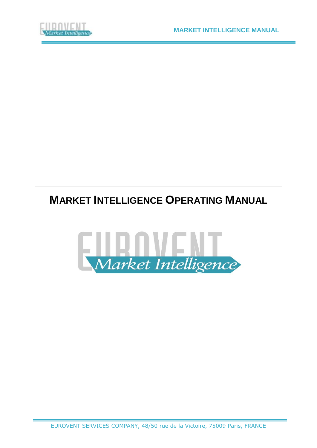

# **MARKET INTELLIGENCE OPERATING MANUAL**

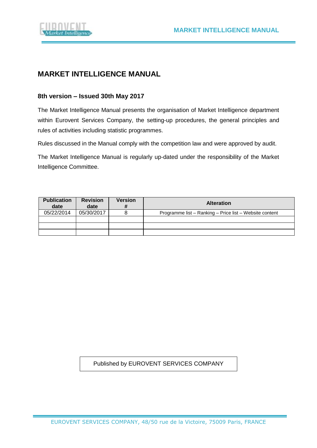

### **MARKET INTELLIGENCE MANUAL**

### **8th version – Issued 30th May 2017**

The Market Intelligence Manual presents the organisation of Market Intelligence department within Eurovent Services Company, the setting-up procedures, the general principles and rules of activities including statistic programmes.

Rules discussed in the Manual comply with the competition law and were approved by audit.

The Market Intelligence Manual is regularly up-dated under the responsibility of the Market Intelligence Committee.

| <b>Publication</b><br>date | <b>Revision</b><br>date | <b>Version</b><br># | <b>Alteration</b>                                       |
|----------------------------|-------------------------|---------------------|---------------------------------------------------------|
| 05/22/2014                 | 05/30/2017              |                     | Programme list - Ranking - Price list - Website content |
|                            |                         |                     |                                                         |
|                            |                         |                     |                                                         |
|                            |                         |                     |                                                         |

#### Published by EUROVENT SERVICES COMPANY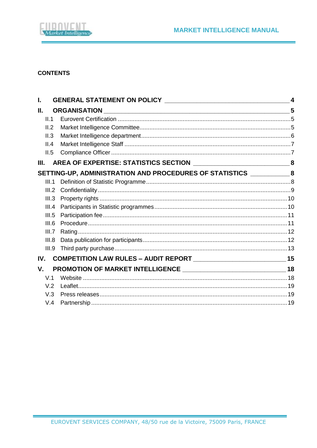

#### **CONTENTS**

| L     |                                                                          | $\overline{\mathbf{4}}$ |
|-------|--------------------------------------------------------------------------|-------------------------|
| Ш.    | <b>ORGANISATION</b>                                                      |                         |
| II.1  |                                                                          |                         |
| II.2  |                                                                          |                         |
| II.3  |                                                                          |                         |
| II.4  |                                                                          |                         |
| II.5  |                                                                          |                         |
| Ш.    |                                                                          |                         |
|       | SETTING-UP, ADMINISTRATION AND PROCEDURES OF STATISTICS _______________8 |                         |
| III.1 |                                                                          |                         |
| III.2 |                                                                          |                         |
| III.3 |                                                                          |                         |
| III.4 |                                                                          |                         |
| III.5 |                                                                          |                         |
| III.6 |                                                                          |                         |
| III.7 |                                                                          |                         |
| III.8 |                                                                          |                         |
| III.9 |                                                                          |                         |
| IV.   |                                                                          |                         |
| V.    |                                                                          |                         |
| V.1   |                                                                          |                         |
| V.2   |                                                                          |                         |
| V.3   |                                                                          |                         |
| V.4   |                                                                          |                         |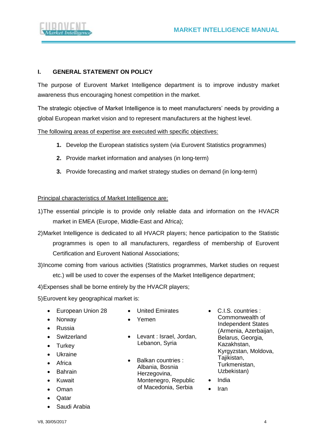

#### <span id="page-3-0"></span>**I. GENERAL STATEMENT ON POLICY**

The purpose of Eurovent Market Intelligence department is to improve industry market awareness thus encouraging honest competition in the market.

The strategic objective of Market Intelligence is to meet manufacturers' needs by providing a global European market vision and to represent manufacturers at the highest level.

The following areas of expertise are executed with specific objectives:

- **1.** Develop the European statistics system (via Eurovent Statistics programmes)
- **2.** Provide market information and analyses (in long-term)
- **3.** Provide forecasting and market strategy studies on demand (in long-term)

#### Principal characteristics of Market Intelligence are:

- 1)The essential principle is to provide only reliable data and information on the HVACR market in EMEA (Europe, Middle-East and Africa);
- 2)Market Intelligence is dedicated to all HVACR players; hence participation to the Statistic programmes is open to all manufacturers, regardless of membership of Eurovent Certification and Eurovent National Associations;
- 3)Income coming from various activities (Statistics programmes, Market studies on request etc.) will be used to cover the expenses of the Market Intelligence department;
- 4)Expenses shall be borne entirely by the HVACR players;
- 5)Eurovent key geographical market is:
	- European Union 28
- United Emirates • Yemen
- Norway
- Russia
- Switzerland
- Turkey
- Ukraine
- Africa
- Bahrain
- Kuwait
- Oman
- Qatar
- Saudi Arabia
- Levant : Israel, Jordan, Lebanon, Syria
- Balkan countries : Albania, Bosnia Herzegovina, Montenegro, Republic of Macedonia, Serbia
- C.I.S. countries : Commonwealth of Independent States (Armenia, Azerbaijan, Belarus, Georgia, Kazakhstan, Kyrgyzstan, Moldova, Tajikistan, Turkmenistan, Uzbekistan)
- India
- Iran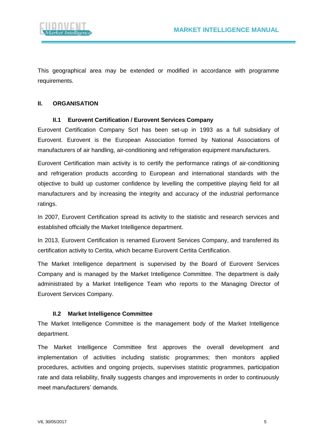

This geographical area may be extended or modified in accordance with programme requirements.

#### <span id="page-4-0"></span>**II. ORGANISATION**

#### **II.1 Eurovent Certification / Eurovent Services Company**

<span id="page-4-1"></span>Eurovent Certification Company Scrl has been set-up in 1993 as a full subsidiary of Eurovent. Eurovent is the European Association formed by National Associations of manufacturers of air handling, air-conditioning and refrigeration equipment manufacturers.

Eurovent Certification main activity is to certify the performance ratings of air-conditioning and refrigeration products according to European and international standards with the objective to build up customer confidence by levelling the competitive playing field for all manufacturers and by increasing the integrity and accuracy of the industrial performance ratings.

In 2007, Eurovent Certification spread its activity to the statistic and research services and established officially the Market Intelligence department.

In 2013, Eurovent Certification is renamed Eurovent Services Company, and transferred its certification activity to Certita, which became Eurovent Certita Certification.

The Market Intelligence department is supervised by the Board of Eurovent Services Company and is managed by the Market Intelligence Committee. The department is daily administrated by a Market Intelligence Team who reports to the Managing Director of Eurovent Services Company.

#### **II.2 Market Intelligence Committee**

<span id="page-4-2"></span>The Market Intelligence Committee is the management body of the Market Intelligence department.

The Market Intelligence Committee first approves the overall development and implementation of activities including statistic programmes; then monitors applied procedures, activities and ongoing projects, supervises statistic programmes, participation rate and data reliability, finally suggests changes and improvements in order to continuously meet manufacturers' demands.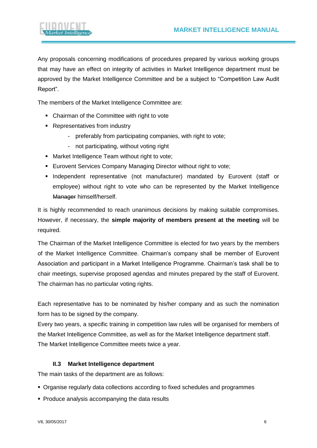

Any proposals concerning modifications of procedures prepared by various working groups that may have an effect on integrity of activities in Market Intelligence department must be approved by the Market Intelligence Committee and be a subject to "Competition Law Audit Report".

The members of the Market Intelligence Committee are:

- **Chairman of the Committee with right to vote**
- **EXEC** Representatives from industry
	- preferably from participating companies, with right to vote;
	- not participating, without voting right
- **■** Market Intelligence Team without right to vote;
- **Eurovent Services Company Managing Director without right to vote;**
- Independent representative (not manufacturer) mandated by Eurovent (staff or employee) without right to vote who can be represented by the Market Intelligence Manager himself/herself.

It is highly recommended to reach unanimous decisions by making suitable compromises. However, if necessary, the **simple majority of members present at the meeting** will be required.

The Chairman of the Market Intelligence Committee is elected for two years by the members of the Market Intelligence Committee. Chairman's company shall be member of Eurovent Association and participant in a Market Intelligence Programme. Chairman's task shall be to chair meetings, supervise proposed agendas and minutes prepared by the staff of Eurovent. The chairman has no particular voting rights.

Each representative has to be nominated by his/her company and as such the nomination form has to be signed by the company.

Every two years, a specific training in competition law rules will be organised for members of the Market Intelligence Committee, as well as for the Market Intelligence department staff. The Market Intelligence Committee meets twice a year.

#### <span id="page-5-0"></span>**II.3 Market Intelligence department**

The main tasks of the department are as follows:

- Organise regularly data collections according to fixed schedules and programmes
- Produce analysis accompanying the data results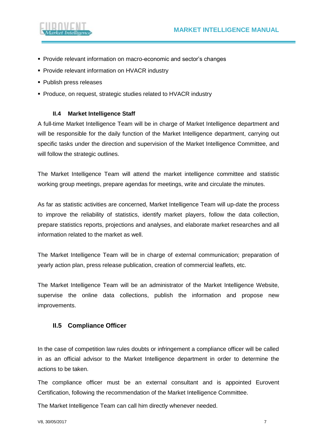

- **Provide relevant information on macro-economic and sector's changes**
- **Provide relevant information on HVACR industry**
- Publish press releases
- <span id="page-6-0"></span>▪ Produce, on request, strategic studies related to HVACR industry

#### **II.4 Market Intelligence Staff**

A full-time Market Intelligence Team will be in charge of Market Intelligence department and will be responsible for the daily function of the Market Intelligence department, carrying out specific tasks under the direction and supervision of the Market Intelligence Committee, and will follow the strategic outlines.

The Market Intelligence Team will attend the market intelligence committee and statistic working group meetings, prepare agendas for meetings, write and circulate the minutes.

As far as statistic activities are concerned, Market Intelligence Team will up-date the process to improve the reliability of statistics, identify market players, follow the data collection, prepare statistics reports, projections and analyses, and elaborate market researches and all information related to the market as well.

The Market Intelligence Team will be in charge of external communication; preparation of yearly action plan, press release publication, creation of commercial leaflets, etc.

The Market Intelligence Team will be an administrator of the Market Intelligence Website, supervise the online data collections, publish the information and propose new improvements.

#### <span id="page-6-1"></span>**II.5 Compliance Officer**

In the case of competition law rules doubts or infringement a compliance officer will be called in as an official advisor to the Market Intelligence department in order to determine the actions to be taken.

The compliance officer must be an external consultant and is appointed Eurovent Certification, following the recommendation of the Market Intelligence Committee.

The Market Intelligence Team can call him directly whenever needed.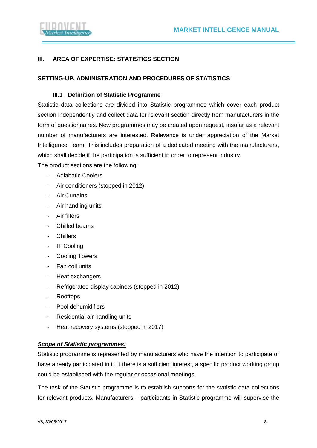

#### <span id="page-7-0"></span>**III. AREA OF EXPERTISE: STATISTICS SECTION**

#### <span id="page-7-1"></span>**SETTING-UP, ADMINISTRATION AND PROCEDURES OF STATISTICS**

#### **III.1 Definition of Statistic Programme**

<span id="page-7-2"></span>Statistic data collections are divided into Statistic programmes which cover each product section independently and collect data for relevant section directly from manufacturers in the form of questionnaires. New programmes may be created upon request, insofar as a relevant number of manufacturers are interested. Relevance is under appreciation of the Market Intelligence Team. This includes preparation of a dedicated meeting with the manufacturers, which shall decide if the participation is sufficient in order to represent industry.

The product sections are the following:

- Adiabatic Coolers
- Air conditioners (stopped in 2012)
- Air Curtains
- Air handling units
- Air filters
- Chilled beams
- Chillers
- IT Cooling
- Cooling Towers
- Fan coil units
- Heat exchangers
- Refrigerated display cabinets (stopped in 2012)
- Rooftops
- Pool dehumidifiers
- Residential air handling units
- Heat recovery systems (stopped in 2017)

#### *Scope of Statistic programmes:*

Statistic programme is represented by manufacturers who have the intention to participate or have already participated in it. If there is a sufficient interest, a specific product working group could be established with the regular or occasional meetings.

The task of the Statistic programme is to establish supports for the statistic data collections for relevant products. Manufacturers – participants in Statistic programme will supervise the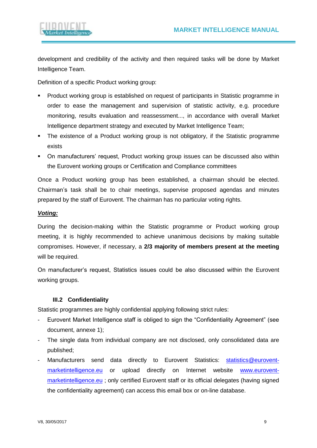

development and credibility of the activity and then required tasks will be done by Market Intelligence Team.

Definition of a specific Product working group:

- Product working group is established on request of participants in Statistic programme in order to ease the management and supervision of statistic activity, e.g. procedure monitoring, results evaluation and reassessment..., in accordance with overall Market Intelligence department strategy and executed by Market Intelligence Team;
- The existence of a Product working group is not obligatory, if the Statistic programme exists
- On manufacturers' request, Product working group issues can be discussed also within the Eurovent working groups or Certification and Compliance committees

Once a Product working group has been established, a chairman should be elected. Chairman's task shall be to chair meetings, supervise proposed agendas and minutes prepared by the staff of Eurovent. The chairman has no particular voting rights.

#### *Voting:*

During the decision-making within the Statistic programme or Product working group meeting, it is highly recommended to achieve unanimous decisions by making suitable compromises. However, if necessary, a **2/3 majority of members present at the meeting** will be required.

On manufacturer's request, Statistics issues could be also discussed within the Eurovent working groups.

#### **III.2 Confidentiality**

<span id="page-8-0"></span>Statistic programmes are highly confidential applying following strict rules:

- Eurovent Market Intelligence staff is obliged to sign the "Confidentiality Agreement" (see document, annexe 1);
- The single data from individual company are not disclosed, only consolidated data are published;
- Manufacturers send data directly to Eurovent Statistics: [statistics@eurovent](mailto:statistics@eurovent-marketintelligence.eu)[marketintelligence.eu](mailto:statistics@eurovent-marketintelligence.eu) or upload directly on Internet website [www.eurovent](http://www.eurovent-marketintelligence.eu/)[marketintelligence.eu](http://www.eurovent-marketintelligence.eu/); only certified Eurovent staff or its official delegates (having signed the confidentiality agreement) can access this email box or on-line database.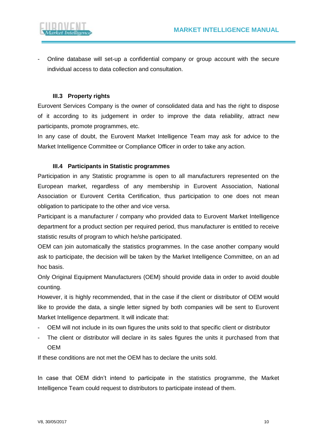

- Online database will set-up a confidential company or group account with the secure individual access to data collection and consultation.

#### <span id="page-9-0"></span>**III.3 Property rights**

Eurovent Services Company is the owner of consolidated data and has the right to dispose of it according to its judgement in order to improve the data reliability, attract new participants, promote programmes, etc.

In any case of doubt, the Eurovent Market Intelligence Team may ask for advice to the Market Intelligence Committee or Compliance Officer in order to take any action.

#### **III.4 Participants in Statistic programmes**

<span id="page-9-1"></span>Participation in any Statistic programme is open to all manufacturers represented on the European market, regardless of any membership in Eurovent Association, National Association or Eurovent Certita Certification, thus participation to one does not mean obligation to participate to the other and vice versa.

Participant is a manufacturer / company who provided data to Eurovent Market Intelligence department for a product section per required period, thus manufacturer is entitled to receive statistic results of program to which he/she participated.

OEM can join automatically the statistics programmes. In the case another company would ask to participate, the decision will be taken by the Market Intelligence Committee, on an ad hoc basis.

Only Original Equipment Manufacturers (OEM) should provide data in order to avoid double counting.

However, it is highly recommended, that in the case if the client or distributor of OEM would like to provide the data, a single letter signed by both companies will be sent to Eurovent Market Intelligence department. It will indicate that:

- OEM will not include in its own figures the units sold to that specific client or distributor
- The client or distributor will declare in its sales figures the units it purchased from that OEM

If these conditions are not met the OEM has to declare the units sold.

In case that OEM didn't intend to participate in the statistics programme, the Market Intelligence Team could request to distributors to participate instead of them.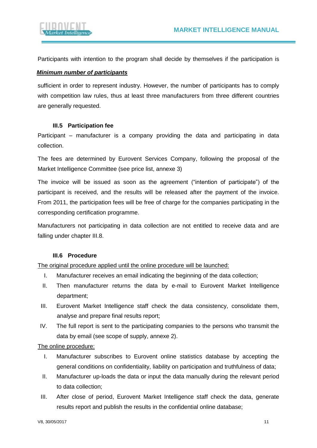

Participants with intention to the program shall decide by themselves if the participation is

#### *Minimum number of participants*

sufficient in order to represent industry. However, the number of participants has to comply with competition law rules, thus at least three manufacturers from three different countries are generally requested.

#### **III.5 Participation fee**

<span id="page-10-0"></span>Participant – manufacturer is a company providing the data and participating in data collection.

The fees are determined by Eurovent Services Company, following the proposal of the Market Intelligence Committee (see price list, annexe 3)

The invoice will be issued as soon as the agreement ("intention of participate") of the participant is received, and the results will be released after the payment of the invoice. From 2011, the participation fees will be free of charge for the companies participating in the corresponding certification programme.

Manufacturers not participating in data collection are not entitled to receive data and are falling under chapter III.8.

#### **III.6 Procedure**

<span id="page-10-1"></span>The original procedure applied until the online procedure will be launched:

- I. Manufacturer receives an email indicating the beginning of the data collection;
- II. Then manufacturer returns the data by e-mail to Eurovent Market Intelligence department;
- III. Eurovent Market Intelligence staff check the data consistency, consolidate them, analyse and prepare final results report;
- IV. The full report is sent to the participating companies to the persons who transmit the data by email (see scope of supply, annexe 2).

The online procedure:

- I. Manufacturer subscribes to Eurovent online statistics database by accepting the general conditions on confidentiality, liability on participation and truthfulness of data;
- II. Manufacturer up-loads the data or input the data manually during the relevant period to data collection;
- III. After close of period, Eurovent Market Intelligence staff check the data, generate results report and publish the results in the confidential online database;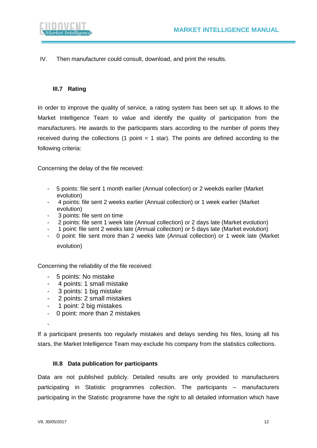

IV. Then manufacturer could consult, download, and print the results.

#### <span id="page-11-0"></span>**III.7 Rating**

In order to improve the quality of service, a rating system has been set up. It allows to the Market Intelligence Team to value and identify the quality of participation from the manufacturers. He awards to the participants stars according to the number of points they received during the collections (1 point  $= 1$  star). The points are defined according to the following criteria:

Concerning the delay of the file received:

- 5 points: file sent 1 month earlier (Annual collection) or 2 weekds earlier (Market evolution)
- 4 points: file sent 2 weeks earlier (Annual collection) or 1 week earlier (Market evolution)
- 3 points: file sent on time
- 2 points: file sent 1 week late (Annual collection) or 2 days late (Market evolution)
- 1 point: file sent 2 weeks late (Annual collection) or 5 days late (Market evolution)
- 0 point: file sent more than 2 weeks late (Annual collection) or 1 week late (Market evolution)

Concerning the reliability of the file received:

- 5 points: No mistake
- 4 points: 1 small mistake
- 3 points: 1 big mistake
- 2 points: 2 small mistakes
- 1 point: 2 big mistakes
- 0 point: more than 2 mistakes

-

If a participant presents too regularly mistakes and delays sending his files, losing all his stars, the Market Intelligence Team may exclude his company from the statistics collections.

#### <span id="page-11-1"></span>**III.8 Data publication for participants**

Data are not published publicly. Detailed results are only provided to manufacturers participating in Statistic programmes collection. The participants – manufacturers participating in the Statistic programme have the right to all detailed information which have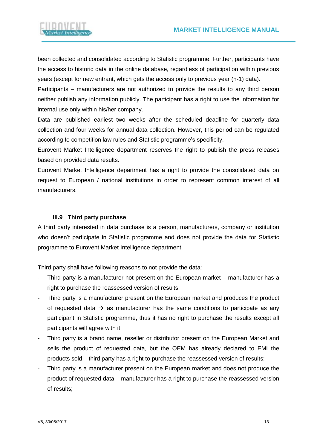

been collected and consolidated according to Statistic programme. Further, participants have the access to historic data in the online database, regardless of participation within previous years (except for new entrant, which gets the access only to previous year (n-1) data).

Participants – manufacturers are not authorized to provide the results to any third person neither publish any information publicly. The participant has a right to use the information for internal use only within his/her company.

Data are published earliest two weeks after the scheduled deadline for quarterly data collection and four weeks for annual data collection. However, this period can be regulated according to competition law rules and Statistic programme's specificity.

Eurovent Market Intelligence department reserves the right to publish the press releases based on provided data results.

Eurovent Market Intelligence department has a right to provide the consolidated data on request to European / national institutions in order to represent common interest of all manufacturers.

#### <span id="page-12-0"></span>**III.9 Third party purchase**

A third party interested in data purchase is a person, manufacturers, company or institution who doesn't participate in Statistic programme and does not provide the data for Statistic programme to Eurovent Market Intelligence department.

Third party shall have following reasons to not provide the data:

- Third party is a manufacturer not present on the European market manufacturer has a right to purchase the reassessed version of results;
- Third party is a manufacturer present on the European market and produces the product of requested data  $\rightarrow$  as manufacturer has the same conditions to participate as any participant in Statistic programme, thus it has no right to purchase the results except all participants will agree with it;
- Third party is a brand name, reseller or distributor present on the European Market and sells the product of requested data, but the OEM has already declared to EMI the products sold – third party has a right to purchase the reassessed version of results;
- Third party is a manufacturer present on the European market and does not produce the product of requested data – manufacturer has a right to purchase the reassessed version of results;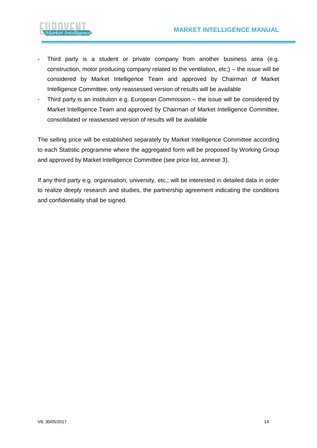

- Third party is a student or private company from another business area (e.g. construction, motor producing company related to the ventilation, etc;) – the issue will be considered by Market Intelligence Team and approved by Chairman of Market Intelligence Committee, only reassessed version of results will be available
- Third party is an institution e.g. European Commission the issue will be considered by Market Intelligence Team and approved by Chairman of Market Intelligence Committee, consolidated or reassessed version of results will be available

The selling price will be established separately by Market Intelligence Committee according to each Statistic programme where the aggregated form will be proposed by Working Group and approved by Market Intelligence Committee (see price list, annexe 3).

If any third party e.g. organisation, university, etc.; will be interested in detailed data in order to realize deeply research and studies, the partnership agreement indicating the conditions and confidentiality shall be signed.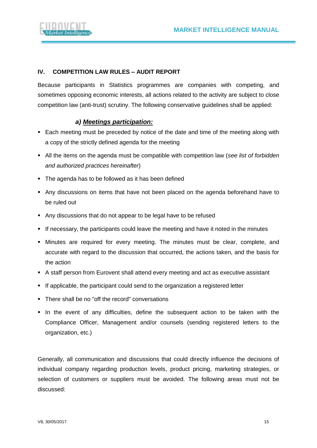

#### <span id="page-14-0"></span>**IV. COMPETITION LAW RULES – AUDIT REPORT**

Because participants in Statistics programmes are companies with competing, and sometimes opposing economic interests, all actions related to the activity are subject to close competition law (anti-trust) scrutiny. The following conservative guidelines shall be applied:

#### *a) Meetings participation:*

- Each meeting must be preceded by notice of the date and time of the meeting along with a copy of the strictly defined agenda for the meeting
- All the items on the agenda must be compatible with competition law (*see list of forbidden and authorized practices hereinafter*)
- The agenda has to be followed as it has been defined
- Any discussions on items that have not been placed on the agenda beforehand have to be ruled out
- Any discussions that do not appear to be legal have to be refused
- **■** If necessary, the participants could leave the meeting and have it noted in the minutes
- Minutes are required for every meeting. The minutes must be clear, complete, and accurate with regard to the discussion that occurred, the actions taken, and the basis for the action
- A staff person from Eurovent shall attend every meeting and act as executive assistant
- **EXECT** If applicable, the participant could send to the organization a registered letter
- There shall be no "off the record" conversations
- **.** In the event of any difficulties, define the subsequent action to be taken with the Compliance Officer, Management and/or counsels (sending registered letters to the organization, etc.)

Generally, all communication and discussions that could directly influence the decisions of individual company regarding production levels, product pricing, marketing strategies, or selection of customers or suppliers must be avoided. The following areas must not be discussed: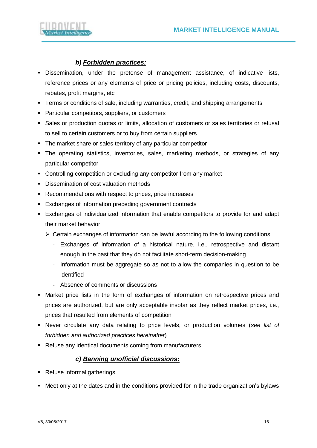

### *b) Forbidden practices:*

- **EXECT** Dissemination, under the pretense of management assistance, of indicative lists, reference prices or any elements of price or pricing policies, including costs, discounts, rebates, profit margins, etc
- Terms or conditions of sale, including warranties, credit, and shipping arrangements
- Particular competitors, suppliers, or customers
- Sales or production quotas or limits, allocation of customers or sales territories or refusal to sell to certain customers or to buy from certain suppliers
- The market share or sales territory of any particular competitor
- **The operating statistics, inventories, sales, marketing methods, or strategies of any** particular competitor
- Controlling competition or excluding any competitor from any market
- Dissemination of cost valuation methods
- Recommendations with respect to prices, price increases
- Exchanges of information preceding government contracts
- Exchanges of individualized information that enable competitors to provide for and adapt their market behavior
	- ➢ Certain exchanges of information can be lawful according to the following conditions:
		- Exchanges of information of a historical nature, i.e., retrospective and distant enough in the past that they do not facilitate short-term decision-making
		- Information must be aggregate so as not to allow the companies in question to be identified
		- Absence of comments or discussions
- **Market price lists in the form of exchanges of information on retrospective prices and** prices are authorized, but are only acceptable insofar as they reflect market prices, i.e., prices that resulted from elements of competition
- Never circulate any data relating to price levels, or production volumes (*see list of forbidden and authorized practices hereinafter*)
- Refuse any identical documents coming from manufacturers

#### *c) Banning unofficial discussions:*

- Refuse informal gatherings
- Meet only at the dates and in the conditions provided for in the trade organization's bylaws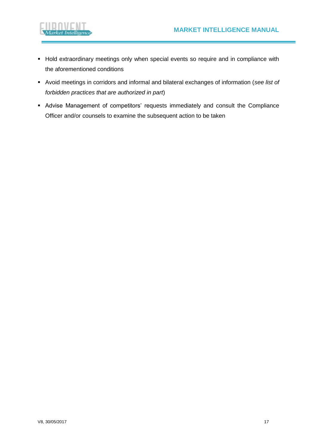

- **EXTED FINDS EXTEDEDED FINDS IN STANDER FINDS FINDS** FIND extraordinary meetings only until FIND events so require and in compliance with the aforementioned conditions
- Avoid meetings in corridors and informal and bilateral exchanges of information (*see list of forbidden practices that are authorized in part*)
- Advise Management of competitors' requests immediately and consult the Compliance Officer and/or counsels to examine the subsequent action to be taken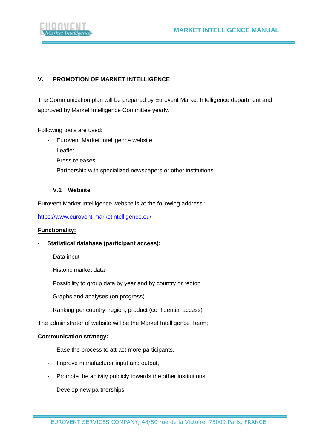

#### <span id="page-17-0"></span>**V. PROMOTION OF MARKET INTELLIGENCE**

The Communication plan will be prepared by Eurovent Market Intelligence department and approved by Market Intelligence Committee yearly.

Following tools are used:

- Eurovent Market Intelligence website
- Leaflet
- Press releases
- <span id="page-17-1"></span>- Partnership with specialized newspapers or other institutions

#### **V.1 Website**

Eurovent Market Intelligence website is at the following address :

<https://www.eurovent-marketintelligence.eu/>

#### **Functionality:**

- **Statistical database (participant access):**

Data input

Historic market data

Possibility to group data by year and by country or region

Graphs and analyses (on progress)

Ranking per country, region, product (confidential access)

The administrator of website will be the Market Intelligence Team;

#### **Communication strategy:**

- Ease the process to attract more participants,
- Improve manufacturer input and output,
- Promote the activity publicly towards the other institutions,
- Develop new partnerships,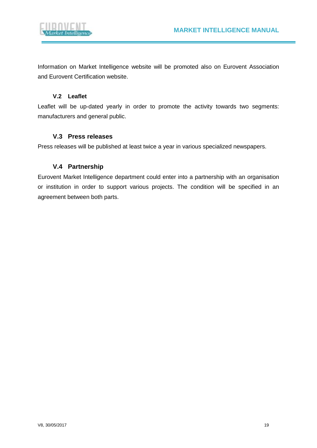

Information on Market Intelligence website will be promoted also on Eurovent Association and Eurovent Certification website.

#### **V.2 Leaflet**

<span id="page-18-0"></span>Leaflet will be up-dated yearly in order to promote the activity towards two segments: manufacturers and general public.

#### <span id="page-18-1"></span>**V.3 Press releases**

<span id="page-18-2"></span>Press releases will be published at least twice a year in various specialized newspapers.

#### **V.4 Partnership**

Eurovent Market Intelligence department could enter into a partnership with an organisation or institution in order to support various projects. The condition will be specified in an agreement between both parts.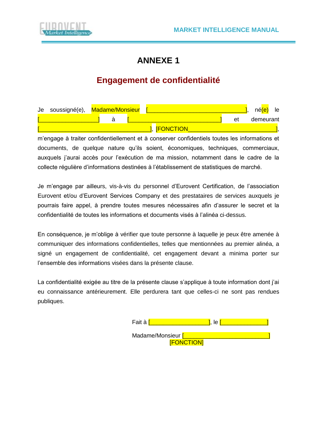

# **ANNEXE 1**

# **Engagement de confidentialité**



m'engage à traiter confidentiellement et à conserver confidentiels toutes les informations et documents, de quelque nature qu'ils soient, économiques, techniques, commerciaux, auxquels j'aurai accès pour l'exécution de ma mission, notamment dans le cadre de la collecte régulière d'informations destinées à l'établissement de statistiques de marché.

Je m'engage par ailleurs, vis-à-vis du personnel d'Eurovent Certification, de l'association Eurovent et/ou d'Eurovent Services Company et des prestataires de services auxquels je pourrais faire appel, à prendre toutes mesures nécessaires afin d'assurer le secret et la confidentialité de toutes les informations et documents visés à l'alinéa ci-dessus.

En conséquence, je m'oblige à vérifier que toute personne à laquelle je peux être amenée à communiquer des informations confidentielles, telles que mentionnées au premier alinéa, a signé un engagement de confidentialité, cet engagement devant a minima porter sur l'ensemble des informations visées dans la présente clause.

La confidentialité exigée au titre de la présente clause s'applique à toute information dont j'ai eu connaissance antérieurement. Elle perdurera tant que celles-ci ne sont pas rendues publiques.

| Fait à <mark>l</mark> | le.               |  |
|-----------------------|-------------------|--|
| Madame/Monsieur [     | <b>[FONCTION]</b> |  |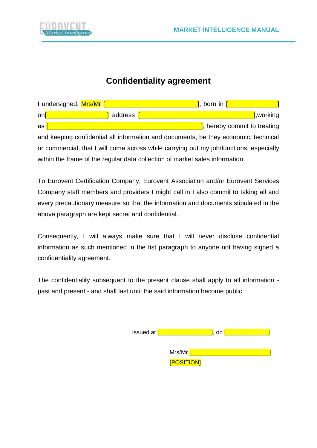

### **Confidentiality agreement**

| I undersigned, Mrs/Mr [Change and Change and Change and Change and Change and Change and Change and Change and |  | <b>1</b> , born in $\begin{bmatrix} 1 & 1 \\ 1 & 1 \end{bmatrix}$ |  |  |
|----------------------------------------------------------------------------------------------------------------|--|-------------------------------------------------------------------|--|--|
| on[ <u>Networks] and</u> address [Networks]                                                                    |  | l,working                                                         |  |  |
| as $\mathsf{I}$                                                                                                |  | 1, hereby commit to treating                                      |  |  |
| and keeping confidential all information and documents, be they economic, technical                            |  |                                                                   |  |  |
| or commercial, that I will come across while carrying out my job/functions, especially                         |  |                                                                   |  |  |
| within the frame of the regular data collection of market sales information.                                   |  |                                                                   |  |  |

To Eurovent Certification Company, Eurovent Association and/or Eurovent Services Company staff members and providers I might call in I also commit to taking all and every precautionary measure so that the information and documents stipulated in the above paragraph are kept secret and confidential.

Consequently, I will always make sure that I will never disclose confidential information as such mentioned in the fist paragraph to anyone not having signed a confidentiality agreement.

The confidentiality subsequent to the present clause shall apply to all information past and present - and shall last until the said information become public.

| Issued at [ |                                     | , on |  |
|-------------|-------------------------------------|------|--|
|             | Mrs/Mr <mark>[</mark><br>[POSITION] |      |  |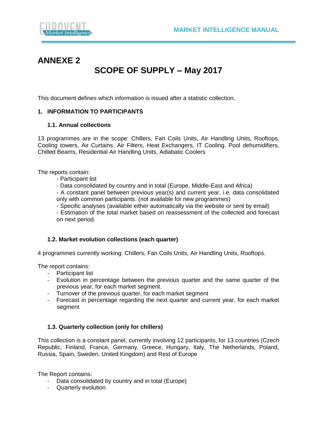

# **ANNEXE 2**

## **SCOPE OF SUPPLY – May 2017**

This document defines which information is issued after a statistic collection.

#### **1. INFORMATION TO PARTICIPANTS**

#### **1.1. Annual collections**

13 programmes are in the scope: Chillers, Fan Coils Units, Air Handling Units, Rooftops, Cooling towers, Air Curtains, Air Filters, Heat Exchangers, IT Cooling. Pool dehumidifiers, Chilled Beams, Residential Air Handling Units, Adiabatic Coolers

The reports contain:

- Participant list
- Data consolidated by country and in total (Europe, Middle-East and Africa)

- A constant panel between previous year(s) and current year, i.e. data consolidated only with common participants. (not available for new programmes)

- Specific analyses (available either automatically via the website or sent by email)

- Estimation of the total market based on reassessment of the collected and forecast on next period.

#### **1.2. Market evolution collections (each quarter)**

4 programmes currently working: Chillers, Fan Coils Units, Air Handling Units, Rooftops.

The report contains:

- Participant list
- Evolution in percentage between the previous quarter and the same quarter of the previous year, for each market segment.
- previous year, for each market segment.<br>- Turnover of the previous quarter, for each market segment
- Forecast in percentage regarding the next quarter and current year, for each market segment

#### **1.3. Quarterly collection (only for chillers)**

This collection is a constant panel, currently involving 12 participants, for 13 countries (Czech Republic, Finland, France, Germany, Greece, Hungary, Italy, The Netherlands, Poland, Russia, Spain, Sweden, United Kingdom) and Rest of Europe

The Report contains:

- Data consolidated by country and in total (Europe)
- Quarterly evolution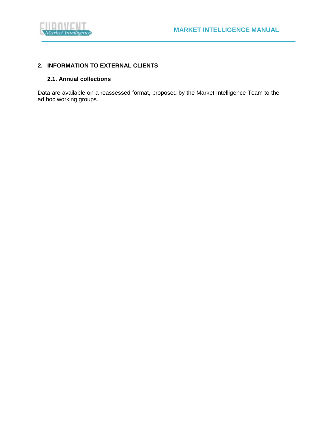

#### **2. INFORMATION TO EXTERNAL CLIENTS**

#### **2.1. Annual collections**

Data are available on a reassessed format, proposed by the Market Intelligence Team to the ad hoc working groups.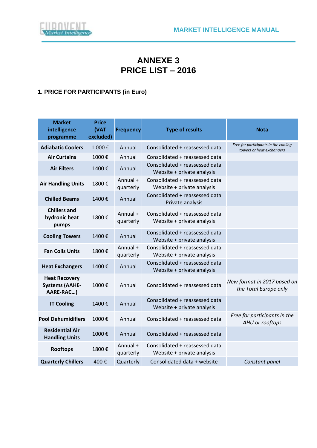

# **ANNEXE 3 PRICE LIST – 2016**

### **1. PRICE FOR PARTICIPANTS (in Euro)**

| <b>Market</b><br>intelligence<br>programme                 | <b>Price</b><br>(VAT<br>excluded) | <b>Frequency</b>      | <b>Type of results</b>                                       | <b>Nota</b>                                                       |
|------------------------------------------------------------|-----------------------------------|-----------------------|--------------------------------------------------------------|-------------------------------------------------------------------|
| <b>Adiabatic Coolers</b>                                   | 1 000€                            | Annual                | Consolidated + reassessed data                               | Free for participants in the cooling<br>towers or heat exchangers |
| <b>Air Curtains</b>                                        | 1000€                             | Annual                | Consolidated + reassessed data                               |                                                                   |
| <b>Air Filters</b>                                         | 1400€                             | Annual                | Consolidated + reassessed data<br>Website + private analysis |                                                                   |
| <b>Air Handling Units</b>                                  | 1800€                             | Annual +<br>quarterly | Consolidated + reassessed data<br>Website + private analysis |                                                                   |
| <b>Chilled Beams</b>                                       | 1400€                             | Annual                | Consolidated + reassessed data<br>Private analysis           |                                                                   |
| <b>Chillers and</b><br>hydronic heat<br>pumps              | 1800€                             | Annual +<br>quarterly | Consolidated + reassessed data<br>Website + private analysis |                                                                   |
| <b>Cooling Towers</b>                                      | 1400€                             | Annual                | Consolidated + reassessed data<br>Website + private analysis |                                                                   |
| <b>Fan Coils Units</b>                                     | 1800€                             | Annual +<br>quarterly | Consolidated + reassessed data<br>Website + private analysis |                                                                   |
| <b>Heat Exchangers</b>                                     | 1400€                             | Annual                | Consolidated + reassessed data<br>Website + private analysis |                                                                   |
| <b>Heat Recovery</b><br><b>Systems (AAHE-</b><br>AARE-RAC) | 1000€                             | Annual                | Consolidated + reassessed data                               | New format in 2017 based on<br>the Total Europe only              |
| <b>IT Cooling</b>                                          | 1400€                             | Annual                | Consolidated + reassessed data<br>Website + private analysis |                                                                   |
| <b>Pool Dehumidifiers</b>                                  | 1000€                             | Annual                | Consolidated + reassessed data                               | Free for participants in the<br>AHU or rooftops                   |
| <b>Residential Air</b><br><b>Handling Units</b>            | 1000€                             | Annual                | Consolidated + reassessed data                               |                                                                   |
| <b>Rooftops</b>                                            | 1800€                             | Annual +<br>quarterly | Consolidated + reassessed data<br>Website + private analysis |                                                                   |
| <b>Quarterly Chillers</b>                                  | 400€                              | Quarterly             | Consolidated data + website                                  | Constant panel                                                    |